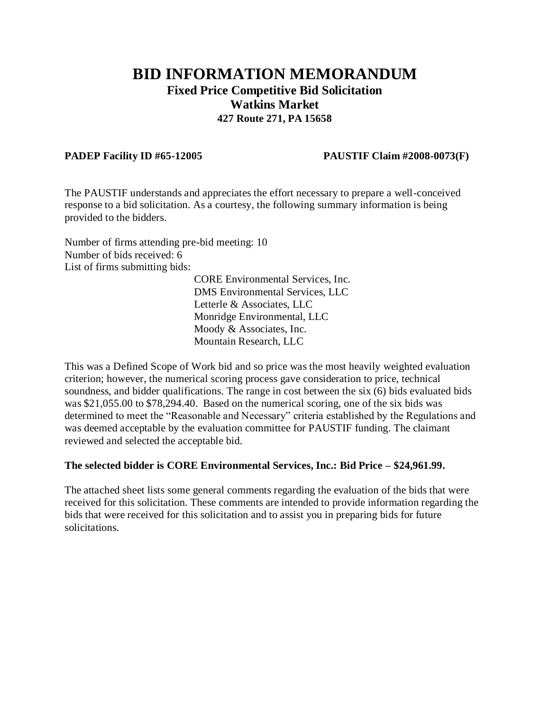## **BID INFORMATION MEMORANDUM Fixed Price Competitive Bid Solicitation Watkins Market 427 Route 271, PA 15658**

## **PADEP Facility ID #65-12005 PAUSTIF Claim #2008-0073(F)**

The PAUSTIF understands and appreciates the effort necessary to prepare a well-conceived response to a bid solicitation. As a courtesy, the following summary information is being provided to the bidders.

Number of firms attending pre-bid meeting: 10 Number of bids received: 6 List of firms submitting bids:

CORE Environmental Services, Inc. DMS Environmental Services, LLC Letterle & Associates, LLC Monridge Environmental, LLC Moody & Associates, Inc. Mountain Research, LLC

This was a Defined Scope of Work bid and so price was the most heavily weighted evaluation criterion; however, the numerical scoring process gave consideration to price, technical soundness, and bidder qualifications. The range in cost between the six (6) bids evaluated bids was \$21,055.00 to \$78,294.40. Based on the numerical scoring, one of the six bids was determined to meet the "Reasonable and Necessary" criteria established by the Regulations and was deemed acceptable by the evaluation committee for PAUSTIF funding. The claimant reviewed and selected the acceptable bid.

## **The selected bidder is CORE Environmental Services, Inc.: Bid Price – \$24,961.99.**

The attached sheet lists some general comments regarding the evaluation of the bids that were received for this solicitation. These comments are intended to provide information regarding the bids that were received for this solicitation and to assist you in preparing bids for future solicitations.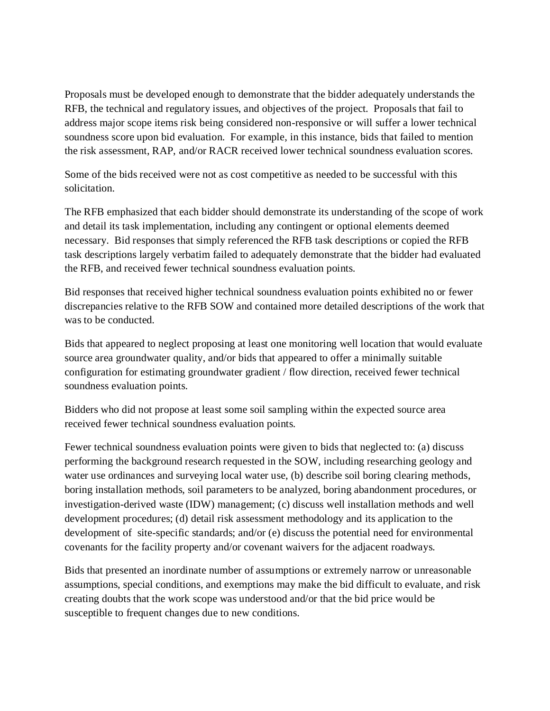Proposals must be developed enough to demonstrate that the bidder adequately understands the RFB, the technical and regulatory issues, and objectives of the project. Proposals that fail to address major scope items risk being considered non-responsive or will suffer a lower technical soundness score upon bid evaluation. For example, in this instance, bids that failed to mention the risk assessment, RAP, and/or RACR received lower technical soundness evaluation scores.

Some of the bids received were not as cost competitive as needed to be successful with this solicitation.

The RFB emphasized that each bidder should demonstrate its understanding of the scope of work and detail its task implementation, including any contingent or optional elements deemed necessary. Bid responses that simply referenced the RFB task descriptions or copied the RFB task descriptions largely verbatim failed to adequately demonstrate that the bidder had evaluated the RFB, and received fewer technical soundness evaluation points.

Bid responses that received higher technical soundness evaluation points exhibited no or fewer discrepancies relative to the RFB SOW and contained more detailed descriptions of the work that was to be conducted.

Bids that appeared to neglect proposing at least one monitoring well location that would evaluate source area groundwater quality, and/or bids that appeared to offer a minimally suitable configuration for estimating groundwater gradient / flow direction, received fewer technical soundness evaluation points.

Bidders who did not propose at least some soil sampling within the expected source area received fewer technical soundness evaluation points.

Fewer technical soundness evaluation points were given to bids that neglected to: (a) discuss performing the background research requested in the SOW, including researching geology and water use ordinances and surveying local water use, (b) describe soil boring clearing methods, boring installation methods, soil parameters to be analyzed, boring abandonment procedures, or investigation-derived waste (IDW) management; (c) discuss well installation methods and well development procedures; (d) detail risk assessment methodology and its application to the development of site-specific standards; and/or (e) discuss the potential need for environmental covenants for the facility property and/or covenant waivers for the adjacent roadways.

Bids that presented an inordinate number of assumptions or extremely narrow or unreasonable assumptions, special conditions, and exemptions may make the bid difficult to evaluate, and risk creating doubts that the work scope was understood and/or that the bid price would be susceptible to frequent changes due to new conditions.